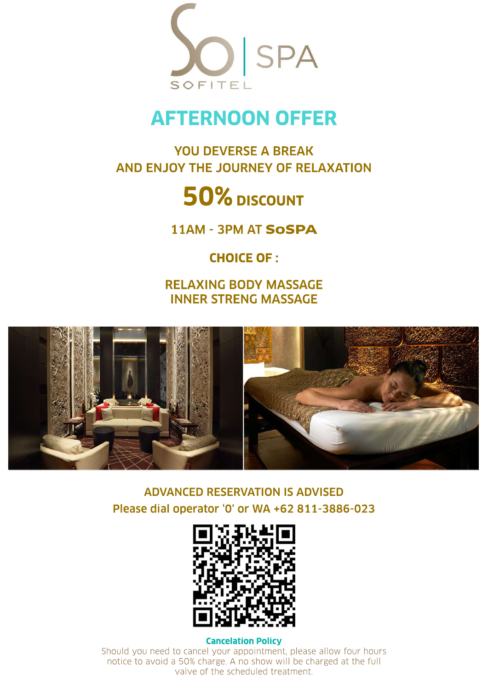

## **AFTERNOONOFFER**

### YOU DEVERSE A BREAK AND ENJOY THE JOURNEY OF RELAXATION

# 50% DISCOUNT

11AM -3PM AT**SoSPA**

### **CHOICE OF:**

**RELAXING BODY MASSAGE INNER STRENG MASSAGE** 



**ADVANCED RESERVATION IS ADVISED** Please dial operator '0' or WA +62 811-3886-023



### **Cancelation Policy**

Should you need to cancel your appointment, please allow four hours notice to avoid a 50% charge. A no show will be charged at the full valve of the scheduled treatment.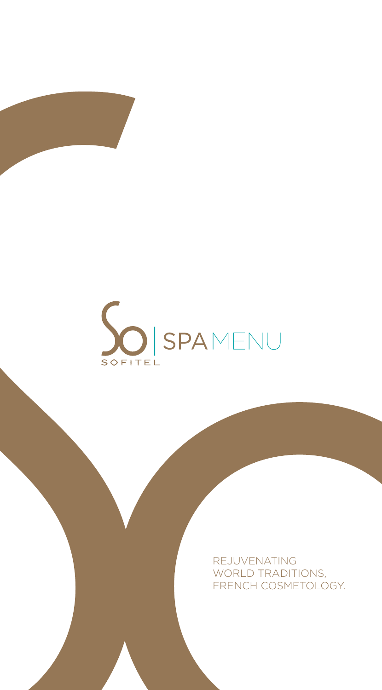

REJUVENATING WORLD TRADITIONS, FRENCH COSMETOLOGY.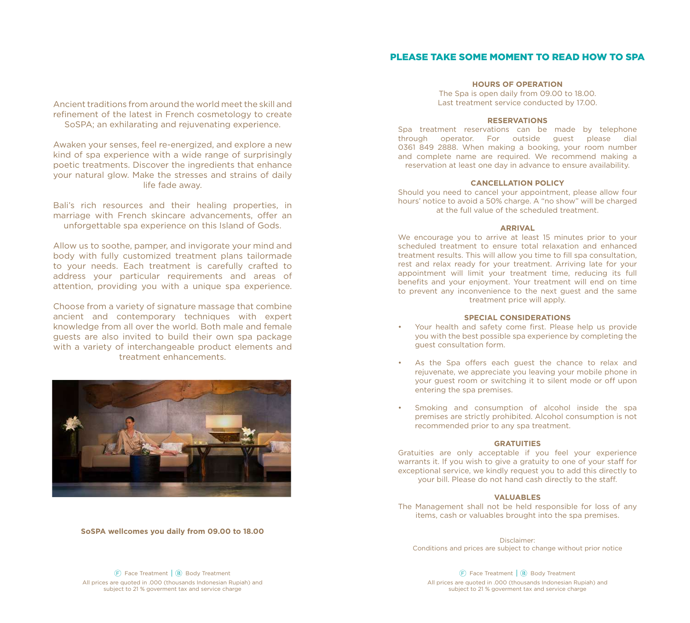#### PLEASE TAKE SOME MOMENT TO READ HOW TO SPA

Ancient traditions from around the world meet the skill and refinement of the latest in French cosmetology to create SoSPA; an exhilarating and rejuvenating experience.

Awaken your senses, feel re-energized, and explore a new kind of spa experience with a wide range of surprisingly poetic treatments. Discover the ingredients that enhance your natural glow. Make the stresses and strains of daily life fade away.

Bali's rich resources and their healing properties, in marriage with French skincare advancements, offer an unforgettable spa experience on this Island of Gods.

Allow us to soothe, pamper, and invigorate your mind and body with fully customized treatment plans tailormade to your needs. Each treatment is carefully crafted to address your particular requirements and areas of attention, providing you with a unique spa experience.

Choose from a variety of signature massage that combine ancient and contemporary techniques with expert knowledge from all over the world. Both male and female guests are also invited to build their own spa package with a variety of interchangeable product elements and treatment enhancements.



**SoSPA wellcomes you daily from 09.00 to 18.00**

#### **HOURS OF OPERATION**

The Spa is open daily from 09.00 to 18.00. Last treatment service conducted by 17.00.

#### **RESERVATIONS**

Spa treatment reservations can be made by telephone through operator. For outside guest please dial 0361 849 2888. When making a booking, your room number and complete name are required. We recommend making a reservation at least one day in advance to ensure availability.

#### **CANCELLATION POLICY**

Should you need to cancel your appointment, please allow four hours' notice to avoid a 50% charge. A "no show" will be charged at the full value of the scheduled treatment.

#### **ARRIVAL**

We encourage you to arrive at least 15 minutes prior to your scheduled treatment to ensure total relaxation and enhanced treatment results. This will allow you time to fill spa consultation, rest and relax ready for your treatment. Arriving late for your appointment will limit your treatment time, reducing its full benefits and your enjoyment. Your treatment will end on time to prevent any inconvenience to the next guest and the same treatment price will apply.

#### **SPECIAL CONSIDERATIONS**

- Your health and safety come first. Please help us provide you with the best possible spa experience by completing the guest consultation form.
- As the Spa offers each guest the chance to relax and rejuvenate, we appreciate you leaving your mobile phone in your guest room or switching it to silent mode or off upon entering the spa premises.
- Smoking and consumption of alcohol inside the spa premises are strictly prohibited. Alcohol consumption is not recommended prior to any spa treatment.

#### **GRATUITIES**

Gratuities are only acceptable if you feel your experience warrants it. If you wish to give a gratuity to one of your staff for exceptional service, we kindly request you to add this directly to your bill. Please do not hand cash directly to the staff.

#### **VALUABLES**

The Management shall not be held responsible for loss of any items, cash or valuables brought into the spa premises.

Disclaimer: Conditions and prices are subject to change without prior notice

Face Treatment | (B) Body Treatment All prices are quoted in .000 (thousands Indonesian Rupiah) and subject to 21 % goverment tax and service charge

Face Treatment | (B) Body Treatment All prices are quoted in .000 (thousands Indonesian Rupiah) and subject to 21 % goverment tax and service charge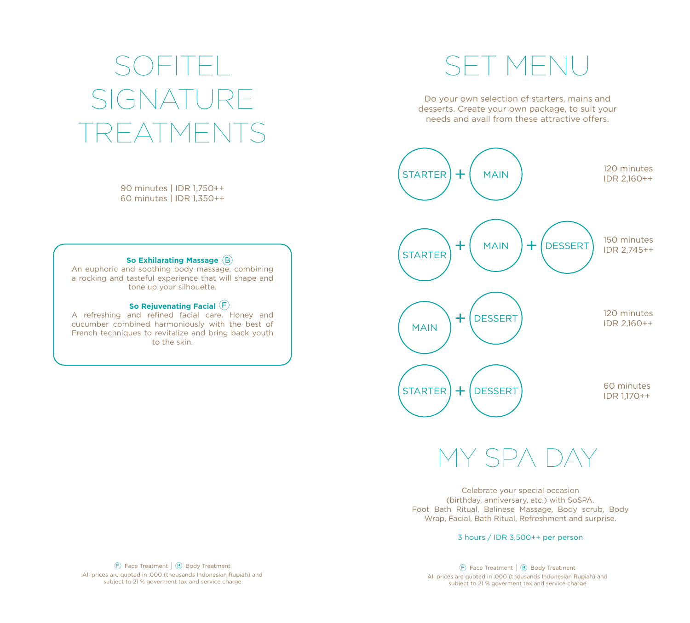### SOFITEL SET MENU SIGNATURE HATME

90 minutes | IDR 1,750++ 60 minutes | IDR 1,350++

#### **So Exhilarating Massage**

An euphoric and soothing body massage, combining a rocking and tasteful experience that will shape and tone up your silhouette.

#### **So Rejuvenating Facial**

A refreshing and refined facial care. Honey and cucumber combined harmoniously with the best of French techniques to revitalize and bring back youth to the skin.

Do your own selection of starters, mains and desserts. Create your own package, to suit your needs and avail from these attractive offers.



Y SPA DAY

Celebrate your special occasion (birthday, anniversary, etc.) with SoSPA. Foot Bath Ritual, Balinese Massage, Body scrub, Body Wrap, Facial, Bath Ritual, Refreshment and surprise.

3 hours / IDR 3,500++ per person

All prices are quoted in .000 (thousands Indonesian Rupiah) and subject to 21 % goverment tax and service charge  $\Box$  Face Treatment  $\Box$  Body Treatment

Face Treatment | ⑤ Body Treatment | ⑥ Body Treatment | ⑥ Body Treatment | ⑧ Body Treatment | ⑧ Body Treatment All prices are quoted in .000 (thousands Indonesian Rupiah) and subject to 21 % goverment tax and service charge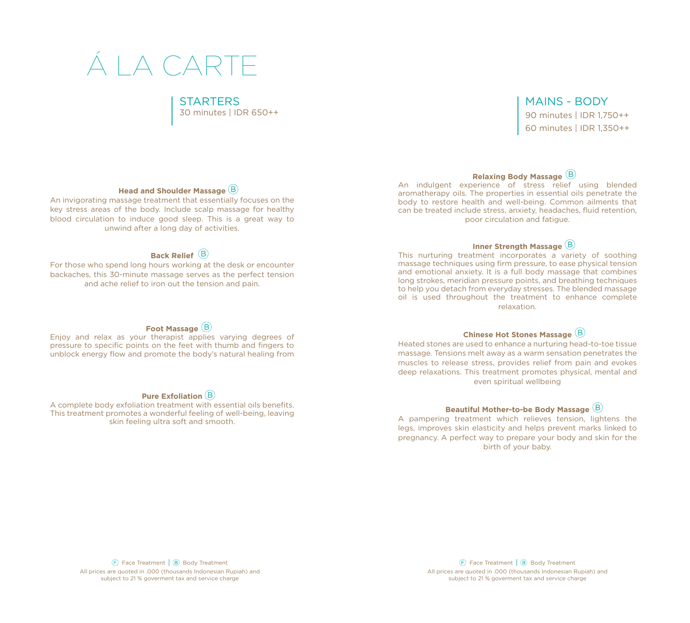### Á LA CARTE

#### STARTERS

30 minutes | IDR 650++

#### MAINS - BODY

90 minutes | IDR 1,750++ 60 minutes | IDR 1,350++

#### **Head and Shoulder Massage**

An invigorating massage treatment that essentially focuses on the key stress areas of the body. Include scalp massage for healthy blood circulation to induce good sleep. This is a great way to unwind after a long day of activities.

#### **Back Relief**

For those who spend long hours working at the desk or encounter backaches, this 30-minute massage serves as the perfect tension and ache relief to iron out the tension and pain.

#### **Foot Massage**

Enjoy and relax as your therapist applies varying degrees of pressure to specific points on the feet with thumb and fingers to unblock energy flow and promote the body's natural healing from

#### **Pure Exfoliation**

A complete body exfoliation treatment with essential oils benefits. This treatment promotes a wonderful feeling of well-being, leaving skin feeling ultra soft and smooth.

#### **Relaxing Body Massage**

An indulgent experience of stress relief using blended aromatherapy oils. The properties in essential oils penetrate the body to restore health and well-being. Common ailments that can be treated include stress, anxiety, headaches, fluid retention, poor circulation and fatigue.

#### **Inner Strength Massage**

This nurturing treatment incorporates a variety of soothing massage techniques using firm pressure, to ease physical tension and emotional anxiety. It is a full body massage that combines long strokes, meridian pressure points, and breathing techniques to help you detach from everyday stresses. The blended massage oil is used throughout the treatment to enhance complete relaxation.

#### **Chinese Hot Stones Massage**

Heated stones are used to enhance a nurturing head-to-toe tissue massage. Tensions melt away as a warm sensation penetrates the muscles to release stress, provides relief from pain and evokes deep relaxations. This treatment promotes physical, mental and even spiritual wellbeing

#### **Beautiful Mother-to-be Body Massage**

A pampering treatment which relieves tension, lightens the legs, improves skin elasticity and helps prevent marks linked to pregnancy. A perfect way to prepare your body and skin for the birth of your baby.

 $(F)$  Face Treatment  $(B)$  Body Treatment All prices are quoted in .000 (thousands Indonesian Rupiah) and subject to 21 % goverment tax and service charge

Body Treatment (B) Body Treatment (B) Body Treatment (B) Body Treatment (B) Body Treatment (B) Body Treatment All prices are quoted in .000 (thousands Indonesian Rupiah) and subject to 21 % goverment tax and service charge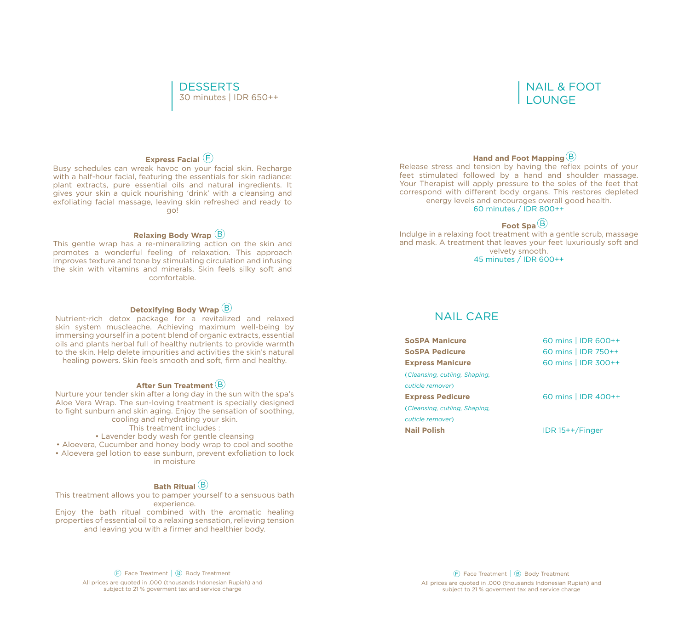#### 30 minutes | IDR 650++ **DESSERTS**

#### NAIL & FOOT LOUNGE

#### **Express Facial**

Busy schedules can wreak havoc on your facial skin. Recharge with a half-hour facial, featuring the essentials for skin radiance: plant extracts, pure essential oils and natural ingredients. It gives your skin a quick nourishing 'drink' with a cleansing and exfoliating facial massage, leaving skin refreshed and ready to go!

#### **Relaxing Body Wrap**

This gentle wrap has a re-mineralizing action on the skin and promotes a wonderful feeling of relaxation. This approach improves texture and tone by stimulating circulation and infusing the skin with vitamins and minerals. Skin feels silky soft and comfortable.

#### **Detoxifying Body Wrap**

Nutrient-rich detox package for a revitalized and relaxed skin system muscleache. Achieving maximum well-being by immersing yourself in a potent blend of organic extracts, essential oils and plants herbal full of healthy nutrients to provide warmth to the skin. Help delete impurities and activities the skin's natural healing powers. Skin feels smooth and soft, firm and healthy.

#### **After Sun Treatment**

Nurture your tender skin after a long day in the sun with the spa's Aloe Vera Wrap. The sun-loving treatment is specially designed to fight sunburn and skin aging. Enjoy the sensation of soothing, cooling and rehydrating your skin.

This treatment includes :

• Lavender body wash for gentle cleansing

• Aloevera, Cucumber and honey body wrap to cool and soothe

• Aloevera gel lotion to ease sunburn, prevent exfoliation to lock in moisture

#### **Bath Ritual**

This treatment allows you to pamper yourself to a sensuous bath experience.

Enjoy the bath ritual combined with the aromatic healing properties of essential oil to a relaxing sensation, relieving tension and leaving you with a firmer and healthier body.

#### **Hand and Foot Mapping**

Release stress and tension by having the reflex points of your feet stimulated followed by a hand and shoulder massage. Your Therapist will apply pressure to the soles of the feet that correspond with different body organs. This restores depleted energy levels and encourages overall good health. 60 minutes / IDR 800++

#### **Foot Spa**

Indulge in a relaxing foot treatment with a gentle scrub, massage and mask. A treatment that leaves your feet luxuriously soft and velvety smooth. 45 minutes / IDR 600++

#### NAIL CARE

| <b>SoSPA Manicure</b>         | 60 mins   IDR 600++ |
|-------------------------------|---------------------|
| <b>SoSPA Pedicure</b>         | 60 mins   IDR 750++ |
| <b>Express Manicure</b>       | 60 mins   IDR 300++ |
| (Cleansing, cutiing, Shaping, |                     |
| cuticle remover)              |                     |
| <b>Express Pedicure</b>       | 60 mins   IDR 400++ |
| (Cleansing, cutiing, Shaping, |                     |
| cuticle remover)              |                     |
| <b>Nail Polish</b>            | $IDR$ 15++/Finger   |
|                               |                     |

 $(F)$  Face Treatment  $(B)$  Body Treatment

All prices are quoted in .000 (thousands Indonesian Rupiah) and subject to 21 % goverment tax and service charge

Body Treatment (B) Body Treatment (B) Body Treatment (B) Body Treatment (B) Body Treatment (B) Body Treatment All prices are quoted in .000 (thousands Indonesian Rupiah) and subject to 21 % goverment tax and service charge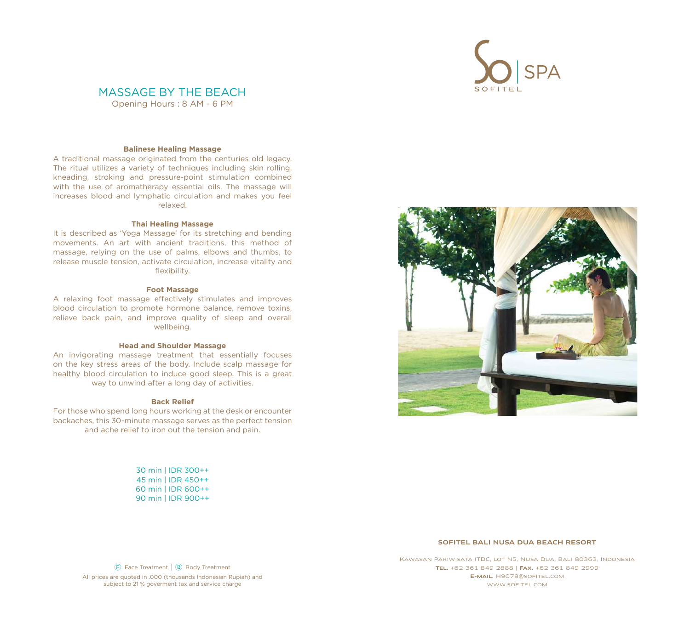

#### MASSAGE BY THE BEACH

Opening Hours : 8 AM - 6 PM

#### **Balinese Healing Massage**

A traditional massage originated from the centuries old legacy. The ritual utilizes a variety of techniques including skin rolling, kneading, stroking and pressure-point stimulation combined with the use of aromatherapy essential oils. The massage will increases blood and lymphatic circulation and makes you feel relaxed.

#### **Thai Healing Massage**

It is described as 'Yoga Massage' for its stretching and bending movements. An art with ancient traditions, this method of massage, relying on the use of palms, elbows and thumbs, to release muscle tension, activate circulation, increase vitality and flexibility.

#### **Foot Massage**

A relaxing foot massage effectively stimulates and improves blood circulation to promote hormone balance, remove toxins, relieve back pain, and improve quality of sleep and overall wellbeing.

#### **Head and Shoulder Massage**

An invigorating massage treatment that essentially focuses on the key stress areas of the body. Include scalp massage for healthy blood circulation to induce good sleep. This is a great way to unwind after a long day of activities.

#### **Back Relief**

For those who spend long hours working at the desk or encounter backaches, this 30-minute massage serves as the perfect tension and ache relief to iron out the tension and pain.

> 30 min | IDR 300++ 45 min | IDR 450++ 60 min | IDR 600++ 90 min | IDR 900++



#### SOFITEL BALI NUSA DUA BEACH RESORT

Face Treatment | (B) Body Treatment All prices are quoted in .000 (thousands Indonesian Rupiah) and subject to 21 % goverment tax and service charge

Kawasan Pariwisata ITDC, lot N5, Nusa Dua, Bali 80363, Indonesia Tel. +62 361 849 2888 | Fax. +62 361 849 2999 E-mail. H9078@sofitel.com www.sofitel.com